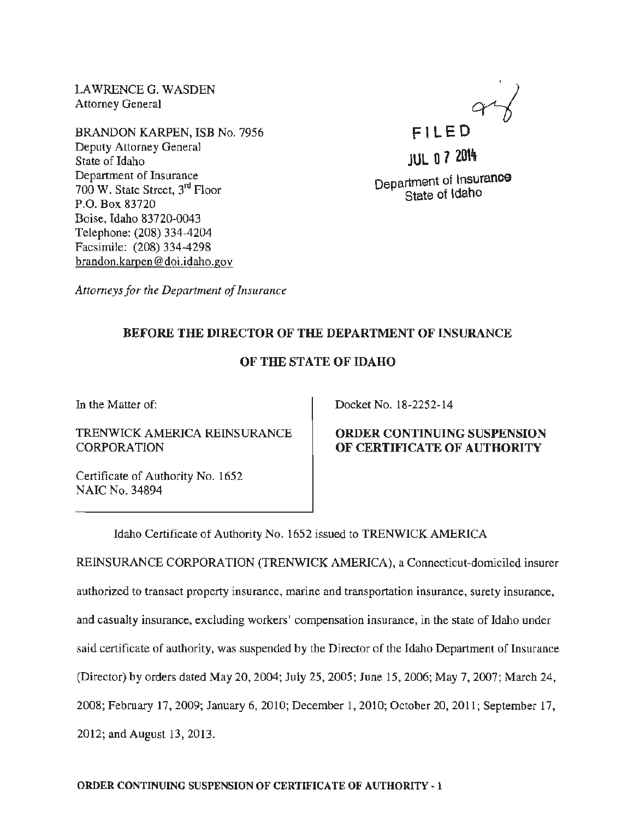LAWRENCE G. WASDEN Attorney General

BRANDON KARPEN, ISB No. 7956 Deputy Attorney General State of Idaho Department of Insurance 700 W. State Street, 3rd Floor P.O. Box 83720 Boise, Idaho 83720-0043 Telephone: (208) 334-4204 Facsimile: (208) 334-4298 brandon.karpen @doi.idaho.gov

Fl LE 0  $4\frac{1}{6}$ 

**JUL 0 7 2014** Department of Insurance State of ldaho

*Attorneys for the Department of Insurance* 

## BEFORE THE DIRECTOR OF THE DEPARTMENT OF INSURANCE

### OF THE STATE OF IDAHO

In the Matter of:

TRENWICK AMERICA REINSURANCE **CORPORATION** 

Certificate of Authority No. 1652 NAIC No. 34894

Docket No. 18-2252-14

### ORDER CONTINUING SUSPENSION OF CERTIF1CATE OF AUTHORITY

Idaho Certificate of Authority No. 1652 issued to TRENWICK AMERICA

REINSURANCE CORPORATION (TRENWICK AMERICA), a Connecticut-domiciled insurer authorized to transact property insurance, marine and transportation insurance, surety insurance, and casualty insurance, excluding workers' compensation insurance, in the state of Idaho under said certificate of authority, was suspended by the Director of the Idaho Department of Insurance (Director) by orders dated May 20, 2004; July 25, 2005; June 15, 2006; May 7, 2007; March 24, 2008; February 17, 2009; January 6, 2010; December 1, 2010; October20, 2011; September 17, 2012; and August 13, 2013.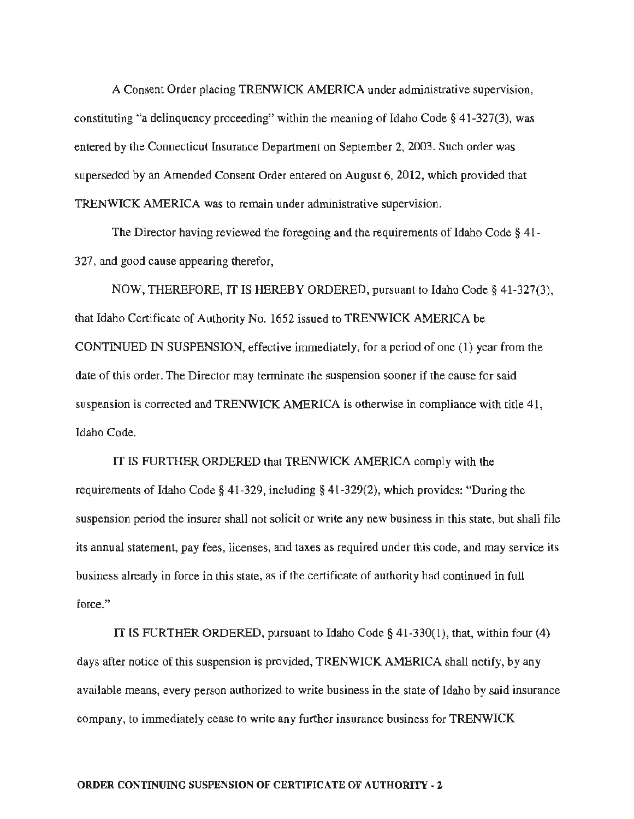A Consent Order placing TRENWICK AMERICA under administrative supervision, constituting "a delinquency proceeding" within the meaning of Idaho Code  $\S$  41-327(3), was entered by the Connecticut Insurance Department on September 2, 2003. Such order was superseded by an Amended Consent Order entered on August 6, 2012, which provided that TRENWICK AMERICA was to remain under administrative supervision.

The Director having reviewed the foregoing and the requirements of Idaho Code§ 41- 327, and good cause appearing therefor,

NOW, THEREFORE, IT IS HEREBY ORDERED, pursuant to Idaho Code§ 41-327(3), that Idaho Certificate of Authority No. 1652 issued to TRENWICK AMERICA be CONTINUED IN SUSPENSION, effective immediately, for a period of one (1) year from the date of this order. The Director may terminate the suspension sooner if the cause for said suspension is corrected and TRENWICK AMERICA is otherwise in compliance with title 41, Idaho Code.

IT IS FURTHER ORDERED that TRENWICK AMERICA comply with the requirements of Idaho Code§ 41-329, including§ 41-329(2), which provides: "During the suspension period the insurer shall not solicit or write any new business in this state, but shall file its annual statement, pay fees, licenses, and taxes as required under this code, and may service its business already in force in this state, as if the certificate of authority had continued in full force."

IT IS FURTHER ORDERED, pursuant to Idaho Code  $\S$  41-330(1), that, within four (4) days after notice of this suspension is provided, TRENWICK AMERICA shall notify, by any available means. every person authorized to write business in the state of Idaho by said insurance company, to immediately cease to write any further insurance business for TRENWICK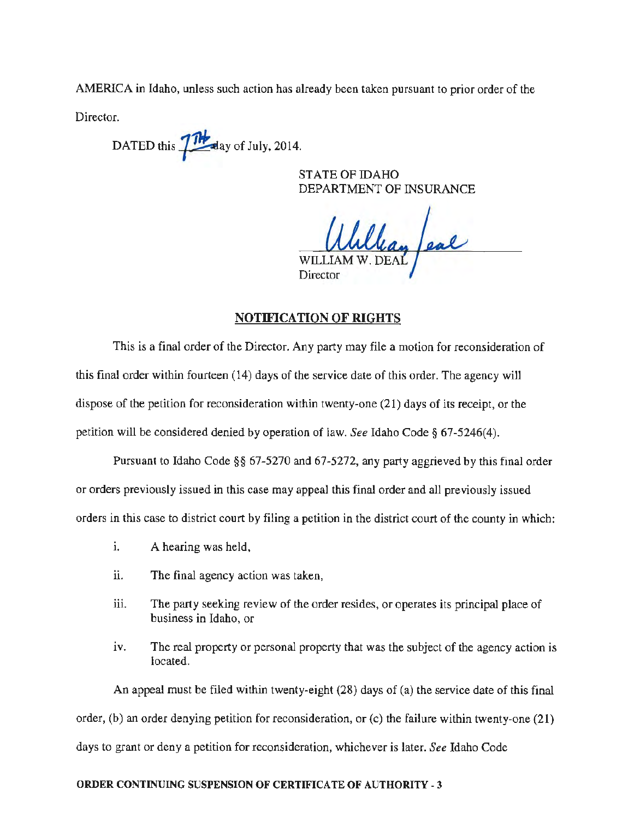AMERICA in Idaho, unless such action has already been taken pursuant to prior order of the

Director.

DATED this  $\frac{1}{10}$  day of July, 2014.

STATE OF IDAHO DEPARTMENT OF INSURANCE

llan feal WILLI **Director** 

NOTIFICATION OF RIGHTS

This is a final order of the Director. Any party may file a motion for reconsideration of this final order within fourteen (14) days of the service date of this order. The agency will dispose of the petition for reconsideration within twenty-one (21) days of its receipt, or the petition will be considered denied by operation of law. *See* Idaho Code§ 67-5246(4).

Pursuant to Idaho Code§§ 67-5270 and 67-5272, any party aggrieved by this final order or orders previously issued in this case may appeal this final order and all previously issued orders in this case to district court by filing a petition in the district court of the county in which:

- 1. A hearing was held,
- ii. The final agency action was taken,
- iii. The party seeking review of the order resides, or operates its principal place of business in Idaho, or
- iv. The real property or personal property that was the subject of the agency action is located.

An appeal must be filed within twenty-eight (28) days of (a) the service date of this final order, (b) an order denying petition for reconsideration, or {c) the failure within twenty-one {21) days to grant or deny a petition for reconsideration, whichever is later. *See* Idaho Code

#### ORDER CONTINUING SUSPENSION OF CERTIFICATE OF AUTHORITY • 3